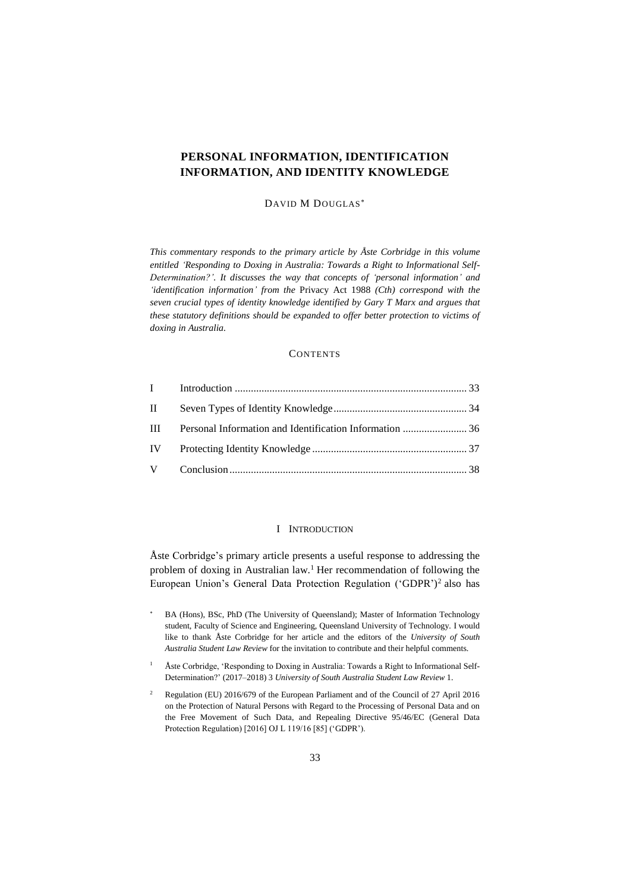# **PERSONAL INFORMATION, IDENTIFICATION INFORMATION, AND IDENTITY KNOWLEDGE**

# DAVID M DOUGLAS

*This commentary responds to the primary article by Åste Corbridge in this volume entitled 'Responding to Doxing in Australia: Towards a Right to Informational Self-Determination?'. It discusses the way that concepts of 'personal information' and 'identification information' from the* Privacy Act 1988 *(Cth) correspond with the seven crucial types of identity knowledge identified by Gary T Marx and argues that these statutory definitions should be expanded to offer better protection to victims of doxing in Australia.* 

# **CONTENTS**

| $\mathbf{H}$ |                                                         |  |
|--------------|---------------------------------------------------------|--|
| $\mathbf{H}$ | Personal Information and Identification Information  36 |  |
|              |                                                         |  |
|              |                                                         |  |

# <span id="page-0-1"></span>I INTRODUCTION

<span id="page-0-0"></span>Åste Corbridge's primary article presents a useful response to addressing the problem of doxing in Australian law.<sup>1</sup> Her recommendation of following the European Union's General Data Protection Regulation ('GDPR')<sup>2</sup> also has

- BA (Hons), BSc, PhD (The University of Queensland); Master of Information Technology student, Faculty of Science and Engineering, Queensland University of Technology. I would like to thank Åste Corbridge for her article and the editors of the *University of South Australia Student Law Review* for the invitation to contribute and their helpful comments.
- <sup>1</sup> Åste Corbridge, 'Responding to Doxing in Australia: Towards a Right to Informational Self-Determination?' (2017–2018) 3 *University of South Australia Student Law Review* 1.
- <sup>2</sup> Regulation (EU) 2016/679 of the European Parliament and of the Council of 27 April 2016 on the Protection of Natural Persons with Regard to the Processing of Personal Data and on the Free Movement of Such Data, and Repealing Directive 95/46/EC (General Data Protection Regulation) [2016] OJ L 119/16 [85] ('GDPR').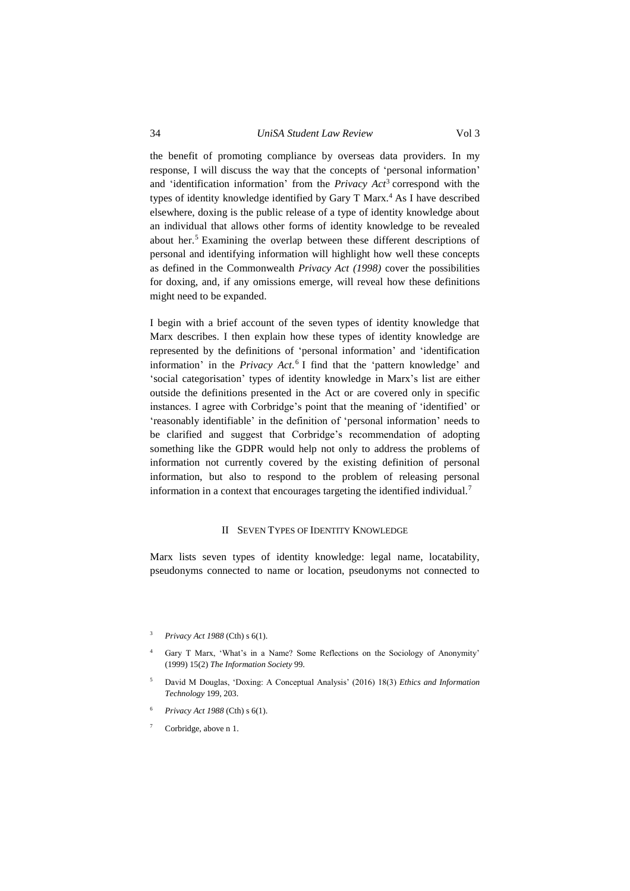<span id="page-1-1"></span>the benefit of promoting compliance by overseas data providers. In my response, I will discuss the way that the concepts of 'personal information' and 'identification information' from the *Privacy Act*<sup>3</sup> correspond with the types of identity knowledge identified by Gary T Marx.<sup>4</sup> As I have described elsewhere, doxing is the public release of a type of identity knowledge about an individual that allows other forms of identity knowledge to be revealed about her.<sup>5</sup> Examining the overlap between these different descriptions of personal and identifying information will highlight how well these concepts as defined in the Commonwealth *Privacy Act (1998)* cover the possibilities for doxing, and, if any omissions emerge, will reveal how these definitions might need to be expanded.

I begin with a brief account of the seven types of identity knowledge that Marx describes. I then explain how these types of identity knowledge are represented by the definitions of 'personal information' and 'identification information' in the *Privacy Act*. 6 I find that the 'pattern knowledge' and 'social categorisation' types of identity knowledge in Marx's list are either outside the definitions presented in the Act or are covered only in specific instances. I agree with Corbridge's point that the meaning of 'identified' or 'reasonably identifiable' in the definition of 'personal information' needs to be clarified and suggest that Corbridge's recommendation of adopting something like the GDPR would help not only to address the problems of information not currently covered by the existing definition of personal information, but also to respond to the problem of releasing personal information in a context that encourages targeting the identified individual.<sup>7</sup>

#### II SEVEN TYPES OF IDENTITY KNOWLEDGE

<span id="page-1-0"></span>Marx lists seven types of identity knowledge: legal name, locatability, pseudonyms connected to name or location, pseudonyms not connected to

- <sup>4</sup> Gary T Marx, 'What's in a Name? Some Reflections on the Sociology of Anonymity' (1999) 15(2) *The Information Society* 99.
- <sup>5</sup> David M Douglas, 'Doxing: A Conceptual Analysis' (2016) 18(3) *Ethics and Information Technology* 199, 203.
- <sup>6</sup> *Privacy Act 1988* (Cth) s 6(1).
- Corbridge, above n 1.

<sup>3</sup> *Privacy Act 1988* (Cth) s 6(1).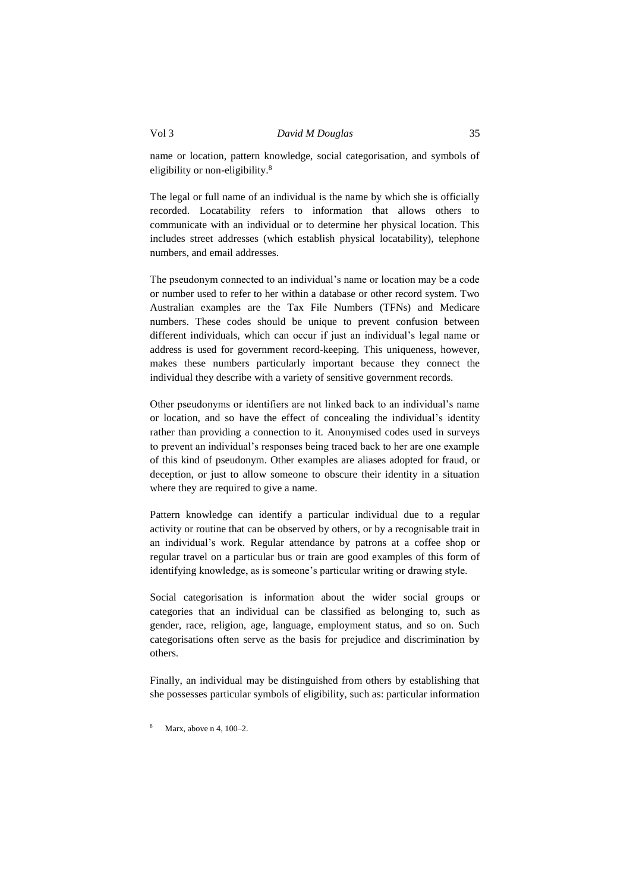name or location, pattern knowledge, social categorisation, and symbols of eligibility or non-eligibility.<sup>8</sup>

The legal or full name of an individual is the name by which she is officially recorded. Locatability refers to information that allows others to communicate with an individual or to determine her physical location. This includes street addresses (which establish physical locatability), telephone numbers, and email addresses.

The pseudonym connected to an individual's name or location may be a code or number used to refer to her within a database or other record system. Two Australian examples are the Tax File Numbers (TFNs) and Medicare numbers. These codes should be unique to prevent confusion between different individuals, which can occur if just an individual's legal name or address is used for government record-keeping. This uniqueness, however, makes these numbers particularly important because they connect the individual they describe with a variety of sensitive government records.

Other pseudonyms or identifiers are not linked back to an individual's name or location, and so have the effect of concealing the individual's identity rather than providing a connection to it. Anonymised codes used in surveys to prevent an individual's responses being traced back to her are one example of this kind of pseudonym. Other examples are aliases adopted for fraud, or deception, or just to allow someone to obscure their identity in a situation where they are required to give a name.

Pattern knowledge can identify a particular individual due to a regular activity or routine that can be observed by others, or by a recognisable trait in an individual's work. Regular attendance by patrons at a coffee shop or regular travel on a particular bus or train are good examples of this form of identifying knowledge, as is someone's particular writing or drawing style.

Social categorisation is information about the wider social groups or categories that an individual can be classified as belonging to, such as gender, race, religion, age, language, employment status, and so on. Such categorisations often serve as the basis for prejudice and discrimination by others.

Finally, an individual may be distinguished from others by establishing that she possesses particular symbols of eligibility, such as: particular information

Marx, above n 4, 100-2.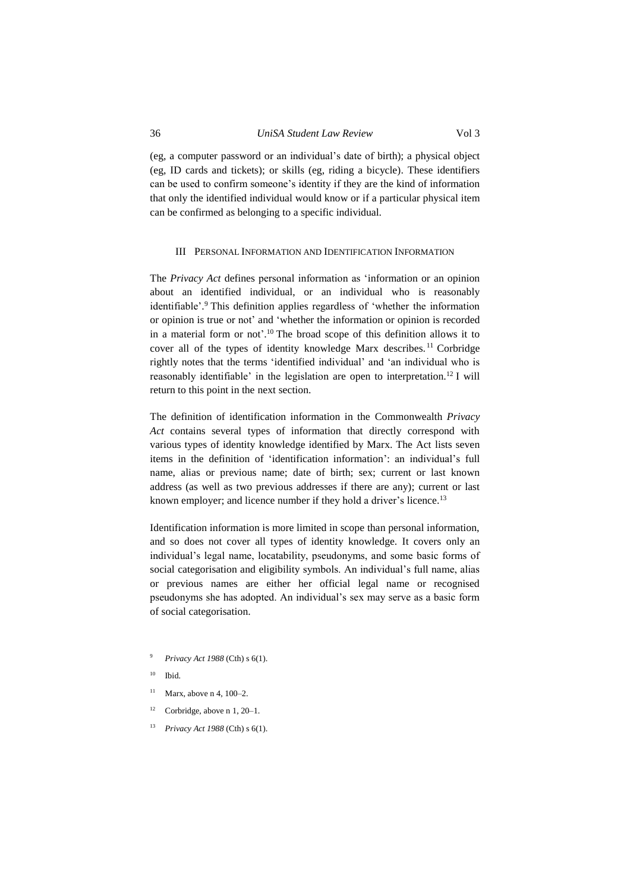(eg, a computer password or an individual's date of birth); a physical object (eg, ID cards and tickets); or skills (eg, riding a bicycle). These identifiers can be used to confirm someone's identity if they are the kind of information that only the identified individual would know or if a particular physical item can be confirmed as belonging to a specific individual.

#### <span id="page-3-0"></span>III PERSONAL INFORMATION AND IDENTIFICATION INFORMATION

The *Privacy Act* defines personal information as 'information or an opinion about an identified individual, or an individual who is reasonably identifiable'. <sup>9</sup> This definition applies regardless of 'whether the information or opinion is true or not' and 'whether the information or opinion is recorded in a material form or not'. <sup>10</sup> The broad scope of this definition allows it to cover all of the types of identity knowledge Marx describes. <sup>11</sup> Corbridge rightly notes that the terms 'identified individual' and 'an individual who is reasonably identifiable' in the legislation are open to interpretation.<sup>12</sup> I will return to this point in the next section.

The definition of identification information in the Commonwealth *Privacy Act* contains several types of information that directly correspond with various types of identity knowledge identified by Marx. The Act lists seven items in the definition of 'identification information': an individual's full name, alias or previous name; date of birth; sex; current or last known address (as well as two previous addresses if there are any); current or last known employer; and licence number if they hold a driver's licence.<sup>13</sup>

Identification information is more limited in scope than personal information, and so does not cover all types of identity knowledge. It covers only an individual's legal name, locatability, pseudonyms, and some basic forms of social categorisation and eligibility symbols. An individual's full name, alias or previous names are either her official legal name or recognised pseudonyms she has adopted. An individual's sex may serve as a basic form of social categorisation.

- <sup>9</sup> *Privacy Act 1988* (Cth) s 6(1).
- $10$  Ibid.
- $11$  Marx, above [n 4,](#page-1-1) 100–2.
- <sup>12</sup> Corbridge, above n [1,](#page-0-1) 20–1.
- <sup>13</sup> *Privacy Act 1988* (Cth) s 6(1).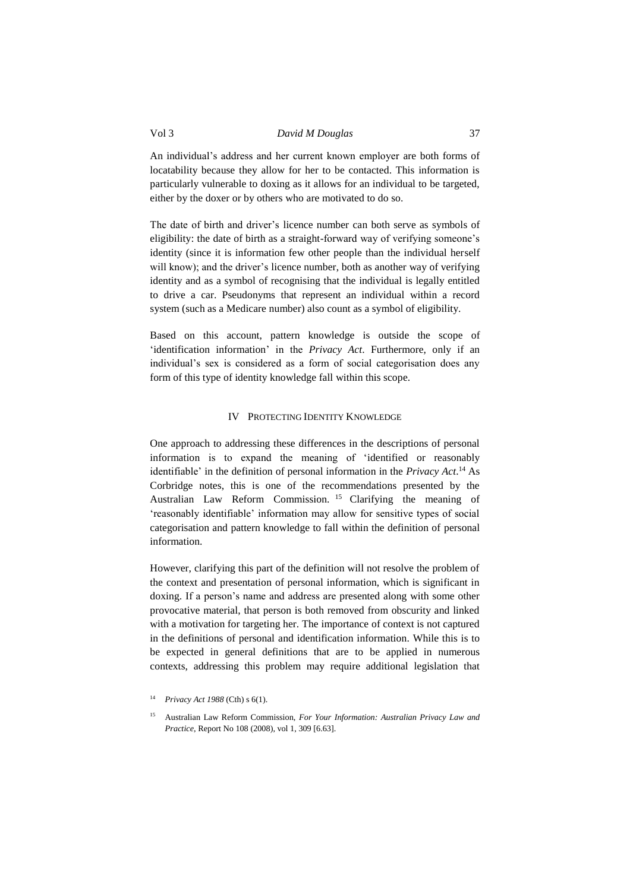# Vol 3 *David M Douglas* 37

An individual's address and her current known employer are both forms of locatability because they allow for her to be contacted. This information is particularly vulnerable to doxing as it allows for an individual to be targeted, either by the doxer or by others who are motivated to do so.

The date of birth and driver's licence number can both serve as symbols of eligibility: the date of birth as a straight-forward way of verifying someone's identity (since it is information few other people than the individual herself will know); and the driver's licence number, both as another way of verifying identity and as a symbol of recognising that the individual is legally entitled to drive a car. Pseudonyms that represent an individual within a record system (such as a Medicare number) also count as a symbol of eligibility.

Based on this account, pattern knowledge is outside the scope of 'identification information' in the *Privacy Act*. Furthermore, only if an individual's sex is considered as a form of social categorisation does any form of this type of identity knowledge fall within this scope.

# IV PROTECTING IDENTITY KNOWLEDGE

<span id="page-4-0"></span>One approach to addressing these differences in the descriptions of personal information is to expand the meaning of 'identified or reasonably identifiable' in the definition of personal information in the *Privacy Act*. <sup>14</sup> As Corbridge notes, this is one of the recommendations presented by the Australian Law Reform Commission. <sup>15</sup> Clarifying the meaning of 'reasonably identifiable' information may allow for sensitive types of social categorisation and pattern knowledge to fall within the definition of personal information.

However, clarifying this part of the definition will not resolve the problem of the context and presentation of personal information, which is significant in doxing. If a person's name and address are presented along with some other provocative material, that person is both removed from obscurity and linked with a motivation for targeting her. The importance of context is not captured in the definitions of personal and identification information. While this is to be expected in general definitions that are to be applied in numerous contexts, addressing this problem may require additional legislation that

<sup>14</sup> *Privacy Act 1988* (Cth) s 6(1).

<sup>15</sup> Australian Law Reform Commission, *For Your Information: Australian Privacy Law and Practice*, Report No 108 (2008), vol 1, 309 [6.63].